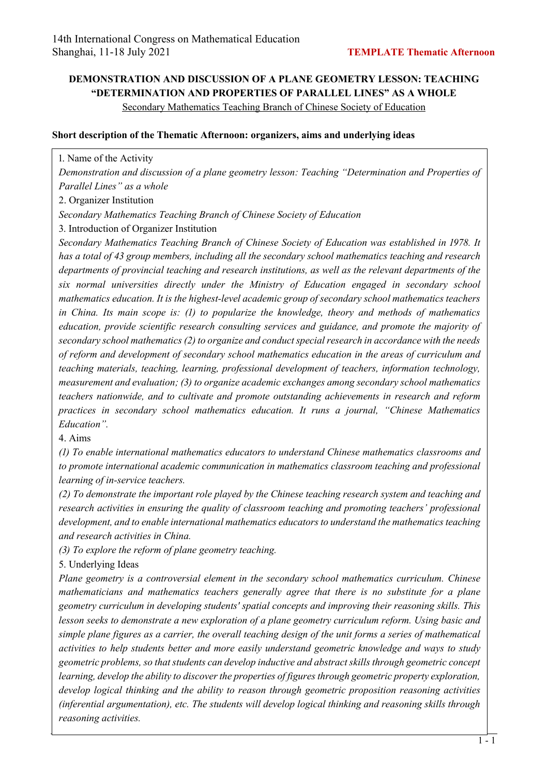## **DEMONSTRATION AND DISCUSSION OF A PLANE GEOMETRY LESSON: TEACHING "DETERMINATION AND PROPERTIES OF PARALLEL LINES" AS A WHOLE**

Secondary Mathematics Teaching Branch of Chinese Society of Education

## **Short description of the Thematic Afternoon: organizers, aims and underlying ideas**

1. Name of the Activity

*Demonstration and discussion of a plane geometry lesson: Teaching "Determination and Properties of Parallel Lines" as a whole*

2. Organizer Institution

*Secondary Mathematics Teaching Branch of Chinese Society of Education*

A. Introduction of Organizer Institution

*Secondary Mathematics Teaching Branch of Chinese Society of Education was established in 1978. It has a total of HI group members, including all the secondary school mathematics teaching and research departments of provincial teaching and research institutions, as well as the relevant departments of the six normal universities directly under the Ministry of Education engaged in secondary school mathematics education. It is the highest-level academic group of secondary school mathematics teachers in China. Its main scope is: (1) to popularize the knowledge, theory and methods of mathematics education, provide scientific research consulting services and guidance, and promote the majority of secondary school mathematics (S) to organize and conduct special research in accordance with the needs of reform and development of secondary school mathematics education in the areas of curriculum and teaching materials, teaching, learning, professional development of teachers, information technology, measurement and evaluation; (I) to organize academic exchanges among secondary school mathematics teachers nationwide, and to cultivate and promote outstanding achievements in research and reform practices in secondary school mathematics education. It runs a journal, "Chinese Mathematics Education".*

B. Aims

*(B) To enable international mathematics educators to understand Chinese mathematics classrooms and to promote international academic communication in mathematics classroom teaching and professional learning of in-service teachers.*

*(S) To demonstrate the important role played by the Chinese teaching research system and teaching and research activities in ensuring the quality of classroom teaching and promoting teachers' professional development, and to enable international mathematics educators to understand the mathematics teaching and research activities in China.*

*(I) To explore the reform of plane geometry teaching.*

5. Underlying Ideas

*Plane geometry is a controversial element in the secondary school mathematics curriculum. Chinese mathematicians and mathematics teachers generally agree that there is no substitute for a plane geometry curriculum in developing students' spatial concepts and improving their reasoning skills. This lesson seeks to demonstrate a new exploration of a plane geometry curriculum reform. Using basic and simple plane figures as a carrier, the overall teaching design of the unit forms a series of mathematical activities to help students better and more easily understand geometric knowledge and ways to study geometric problems, so that students can develop inductive and abstract skills through geometric concept learning, develop the ability to discover the properties of figures through geometric property exploration, develop logical thinking and the ability to reason through geometric proposition reasoning activities (inferential argumentation), etc. The students will develop logical thinking and reasoning skills through reasoning activities.*